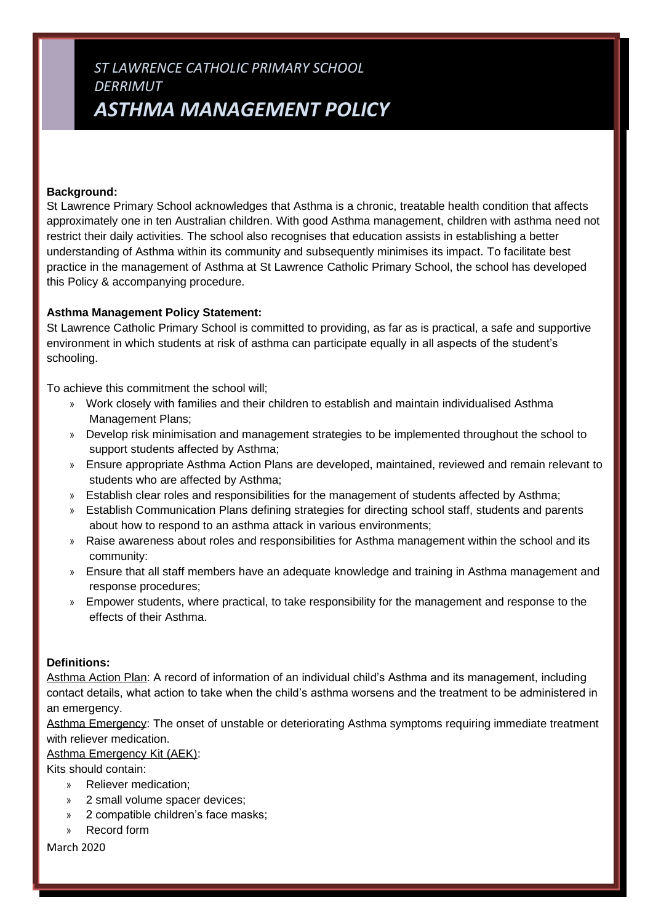# *ST LAWRENCE CATHOLIC PRIMARY SCHOOL DERRIMUT ASTHMA MANAGEMENT POLICY*

#### **Background:**

St Lawrence Primary School acknowledges that Asthma is a chronic, treatable health condition that affects approximately one in ten Australian children. With good Asthma management, children with asthma need not restrict their daily activities. The school also recognises that education assists in establishing a better understanding of Asthma within its community and subsequently minimises its impact. To facilitate best practice in the management of Asthma at St Lawrence Catholic Primary School, the school has developed this Policy & accompanying procedure.

#### **Asthma Management Policy Statement:**

St Lawrence Catholic Primary School is committed to providing, as far as is practical, a safe and supportive environment in which students at risk of asthma can participate equally in all aspects of the student's schooling.

To achieve this commitment the school will;

- » Work closely with families and their children to establish and maintain individualised Asthma Management Plans;
- » Develop risk minimisation and management strategies to be implemented throughout the school to support students affected by Asthma;
- » Ensure appropriate Asthma Action Plans are developed, maintained, reviewed and remain relevant to students who are affected by Asthma;
- » Establish clear roles and responsibilities for the management of students affected by Asthma;
- » Establish Communication Plans defining strategies for directing school staff, students and parents about how to respond to an asthma attack in various environments;
- » Raise awareness about roles and responsibilities for Asthma management within the school and its community:
- » Ensure that all staff members have an adequate knowledge and training in Asthma management and response procedures;
- » Empower students, where practical, to take responsibility for the management and response to the effects of their Asthma.

#### **Definitions:**

Asthma Action Plan: A record of information of an individual child's Asthma and its management, including contact details, what action to take when the child's asthma worsens and the treatment to be administered in an emergency.

Asthma Emergency: The onset of unstable or deteriorating Asthma symptoms requiring immediate treatment with reliever medication.

Asthma Emergency Kit (AEK):

Kits should contain:

- » Reliever medication;
- » 2 small volume spacer devices;
- » 2 compatible children's face masks;
- » Record form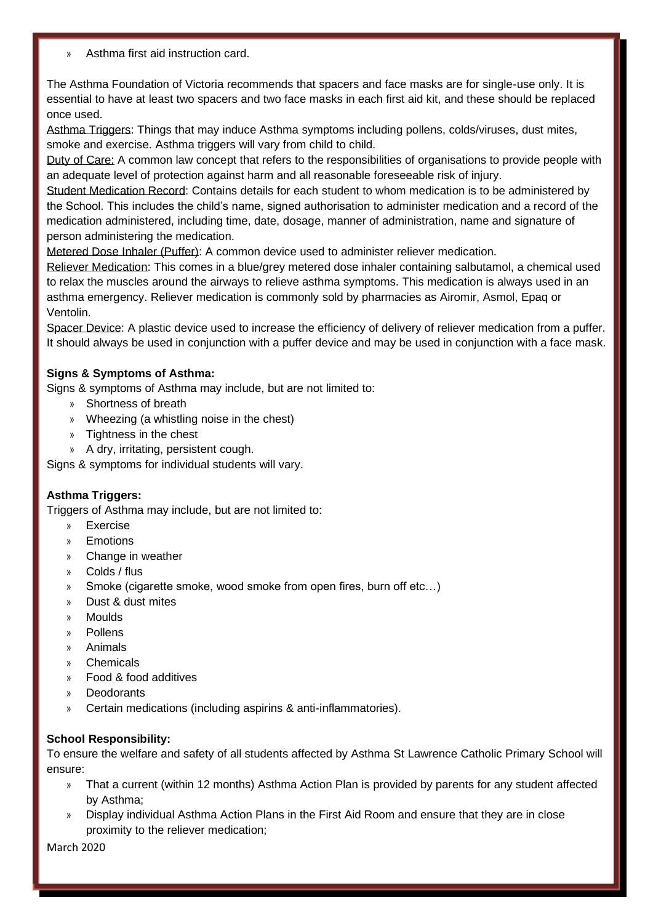» Asthma first aid instruction card.

The Asthma Foundation of Victoria recommends that spacers and face masks are for single-use only. It is essential to have at least two spacers and two face masks in each first aid kit, and these should be replaced once used.

Asthma Triggers: Things that may induce Asthma symptoms including pollens, colds/viruses, dust mites, smoke and exercise. Asthma triggers will vary from child to child.

Duty of Care: A common law concept that refers to the responsibilities of organisations to provide people with an adequate level of protection against harm and all reasonable foreseeable risk of injury.

Student Medication Record: Contains details for each student to whom medication is to be administered by the School. This includes the child's name, signed authorisation to administer medication and a record of the medication administered, including time, date, dosage, manner of administration, name and signature of person administering the medication.

Metered Dose Inhaler (Puffer): A common device used to administer reliever medication.

Reliever Medication: This comes in a blue/grey metered dose inhaler containing salbutamol, a chemical used to relax the muscles around the airways to relieve asthma symptoms. This medication is always used in an asthma emergency. Reliever medication is commonly sold by pharmacies as Airomir, Asmol, Epaq or Ventolin.

Spacer Device: A plastic device used to increase the efficiency of delivery of reliever medication from a puffer. It should always be used in conjunction with a puffer device and may be used in conjunction with a face mask.

## **Signs & Symptoms of Asthma:**

Signs & symptoms of Asthma may include, but are not limited to:

- » Shortness of breath
- » Wheezing (a whistling noise in the chest)
- » Tightness in the chest
- » A dry, irritating, persistent cough.

Signs & symptoms for individual students will vary.

## **Asthma Triggers:**

Triggers of Asthma may include, but are not limited to:

- » Exercise
- **Emotions**
- Change in weather
- » Colds / flus
- » Smoke (cigarette smoke, wood smoke from open fires, burn off etc…)
- » Dust & dust mites
- » Moulds
- » Pollens
- » Animals
- » Chemicals
- » Food & food additives
- » Deodorants
- » Certain medications (including aspirins & anti-inflammatories).

## **School Responsibility:**

To ensure the welfare and safety of all students affected by Asthma St Lawrence Catholic Primary School will ensure:

- » That a current (within 12 months) Asthma Action Plan is provided by parents for any student affected by Asthma;
- » Display individual Asthma Action Plans in the First Aid Room and ensure that they are in close proximity to the reliever medication;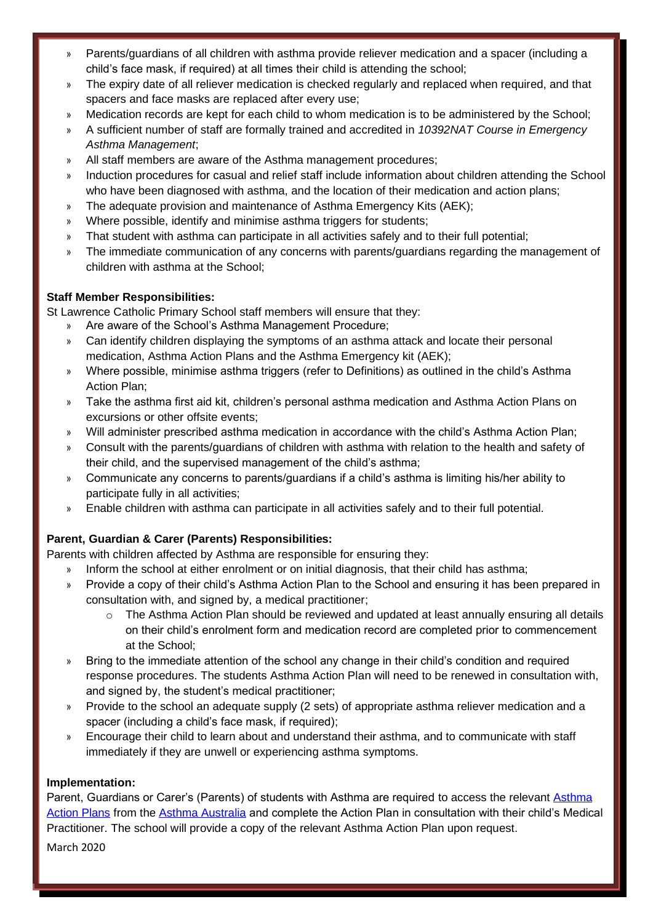- » Parents/guardians of all children with asthma provide reliever medication and a spacer (including a child's face mask, if required) at all times their child is attending the school;
- » The expiry date of all reliever medication is checked regularly and replaced when required, and that spacers and face masks are replaced after every use;
- » Medication records are kept for each child to whom medication is to be administered by the School;
- » A sufficient number of staff are formally trained and accredited in *10392NAT Course in Emergency Asthma Management*;
- » All staff members are aware of the Asthma management procedures;
- » Induction procedures for casual and relief staff include information about children attending the School who have been diagnosed with asthma, and the location of their medication and action plans;
- » The adequate provision and maintenance of Asthma Emergency Kits (AEK);
- » Where possible, identify and minimise asthma triggers for students;
- » That student with asthma can participate in all activities safely and to their full potential;
- » The immediate communication of any concerns with parents/guardians regarding the management of children with asthma at the School;

## **Staff Member Responsibilities:**

St Lawrence Catholic Primary School staff members will ensure that they:

- » Are aware of the School's Asthma Management Procedure;
- » Can identify children displaying the symptoms of an asthma attack and locate their personal medication, Asthma Action Plans and the Asthma Emergency kit (AEK);
- » Where possible, minimise asthma triggers (refer to Definitions) as outlined in the child's Asthma Action Plan;
- » Take the asthma first aid kit, children's personal asthma medication and Asthma Action Plans on excursions or other offsite events;
- » Will administer prescribed asthma medication in accordance with the child's Asthma Action Plan;
- » Consult with the parents/guardians of children with asthma with relation to the health and safety of their child, and the supervised management of the child's asthma;
- » Communicate any concerns to parents/guardians if a child's asthma is limiting his/her ability to participate fully in all activities;
- » Enable children with asthma can participate in all activities safely and to their full potential.

## **Parent, Guardian & Carer (Parents) Responsibilities:**

Parents with children affected by Asthma are responsible for ensuring they:

- Inform the school at either enrolment or on initial diagnosis, that their child has asthma;
- » Provide a copy of their child's Asthma Action Plan to the School and ensuring it has been prepared in consultation with, and signed by, a medical practitioner;
	- $\circ$  The Asthma Action Plan should be reviewed and updated at least annually ensuring all details on their child's enrolment form and medication record are completed prior to commencement at the School;
- » Bring to the immediate attention of the school any change in their child's condition and required response procedures. The students Asthma Action Plan will need to be renewed in consultation with, and signed by, the student's medical practitioner;
- » Provide to the school an adequate supply (2 sets) of appropriate asthma reliever medication and a spacer (including a child's face mask, if required);
- » Encourage their child to learn about and understand their asthma, and to communicate with staff immediately if they are unwell or experiencing asthma symptoms.

## **Implementation:**

Parent, Guardians or Carer's (Parents) of students with Asthma are required to access the relevant [Asthma](https://www.asthmaaustralia.org.au/vic/about-asthma/resources/victorian-action-plans/victorian-asthma-action-plans)  [Action Plans](https://www.asthmaaustralia.org.au/vic/about-asthma/resources/victorian-action-plans/victorian-asthma-action-plans) from the [Asthma Australia](https://www.asthmaaustralia.org.au/vic/home) and complete the Action Plan in consultation with their child's Medical Practitioner. The school will provide a copy of the relevant Asthma Action Plan upon request.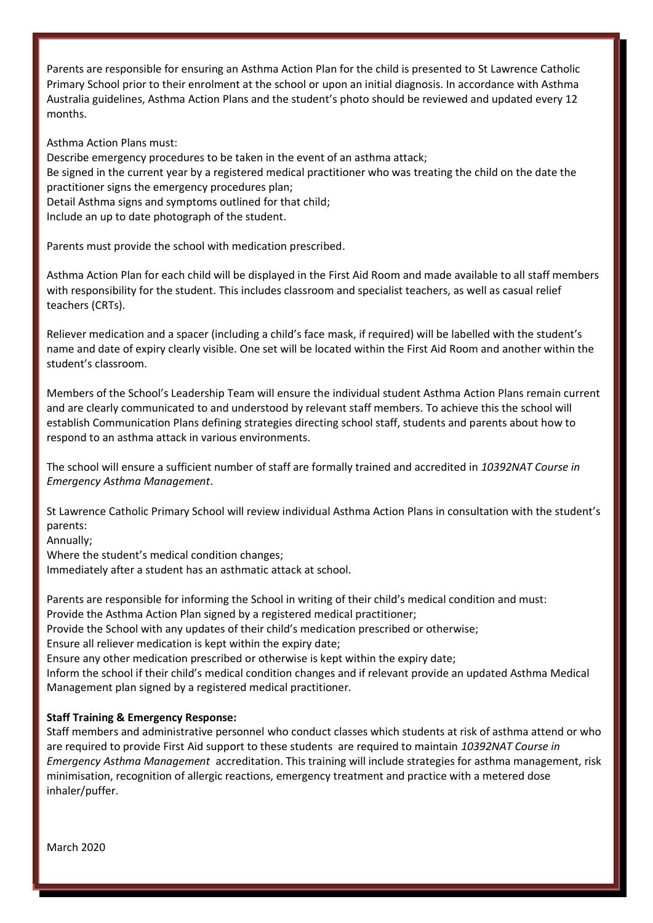Parents are responsible for ensuring an Asthma Action Plan for the child is presented to St Lawrence Catholic Primary School prior to their enrolment at the school or upon an initial diagnosis. In accordance with Asthma Australia guidelines, Asthma Action Plans and the student's photo should be reviewed and updated every 12 months.

Asthma Action Plans must:

Describe emergency procedures to be taken in the event of an asthma attack; Be signed in the current year by a registered medical practitioner who was treating the child on the date the practitioner signs the emergency procedures plan; Detail Asthma signs and symptoms outlined for that child; Include an up to date photograph of the student.

Parents must provide the school with medication prescribed.

Asthma Action Plan for each child will be displayed in the First Aid Room and made available to all staff members with responsibility for the student. This includes classroom and specialist teachers, as well as casual relief teachers (CRTs).

Reliever medication and a spacer (including a child's face mask, if required) will be labelled with the student's name and date of expiry clearly visible. One set will be located within the First Aid Room and another within the student's classroom.

Members of the School's Leadership Team will ensure the individual student Asthma Action Plans remain current and are clearly communicated to and understood by relevant staff members. To achieve this the school will establish Communication Plans defining strategies directing school staff, students and parents about how to respond to an asthma attack in various environments.

The school will ensure a sufficient number of staff are formally trained and accredited in *10392NAT Course in Emergency Asthma Management*.

St Lawrence Catholic Primary School will review individual Asthma Action Plans in consultation with the student's parents:

Annually;

Where the student's medical condition changes; Immediately after a student has an asthmatic attack at school.

Parents are responsible for informing the School in writing of their child's medical condition and must: Provide the Asthma Action Plan signed by a registered medical practitioner; Provide the School with any updates of their child's medication prescribed or otherwise; Ensure all reliever medication is kept within the expiry date; Ensure any other medication prescribed or otherwise is kept within the expiry date; Inform the school if their child's medical condition changes and if relevant provide an updated Asthma Medical Management plan signed by a registered medical practitioner.

## **Staff Training & Emergency Response:**

Staff members and administrative personnel who conduct classes which students at risk of asthma attend or who are required to provide First Aid support to these students are required to maintain *10392NAT Course in Emergency Asthma Management* accreditation. This training will include strategies for asthma management, risk minimisation, recognition of allergic reactions, emergency treatment and practice with a metered dose inhaler/puffer.